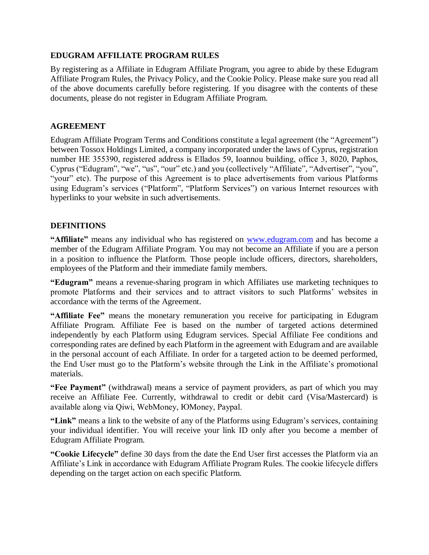### **EDUGRAM AFFILIATE PROGRAM RULES**

By registering as a Affiliate in Edugram Affiliate Program, you agree to abide by these Edugram Affiliate Program Rules, the Privacy Policy, and the Cookie Policy. Please make sure you read all of the above documents carefully before registering. If you disagree with the contents of these documents, please do not register in Edugram Affiliate Program.

#### **AGREEMENT**

Edugram Affiliate Program Terms and Conditions constitute a legal agreement (the "Agreement") between Tossox Holdings Limited, a company incorporated under the laws of Cyprus, registration number НЕ 355390, registered address is Ellados 59, Ioannou building, office 3, 8020, Paphos, Cyprus ("Edugram", "we", "us", "our" etc.) and you (collectively "Affiliate", "Advertiser", "you", "your" etc). The purpose of this Agreement is to place advertisements from various Platforms using Edugram's services ("Platform", "Platform Services") on various Internet resources with hyperlinks to your website in such advertisements.

### **DEFINITIONS**

**"Affiliate"** means any individual who has registered on [www.edugram.com](http://www.edugram.com/) and has become a member of the Edugram Affiliate Program. You may not become an Affiliate if you are a person in a position to influence the Platform. Those people include officers, directors, shareholders, employees of the Platform and their immediate family members.

**"Edugram"** means a revenue-sharing program in which Affiliates use marketing techniques to promote Platforms and their services and to attract visitors to such Platforms' websites in accordance with the terms of the Agreement.

**"Affiliate Fee"** means the monetary remuneration you receive for participating in Edugram Affiliate Program. Affiliate Fee is based on the number of targeted actions determined independently by each Platform using Edugram services. Special Affiliate Fee conditions and corresponding rates are defined by each Platform in the agreement with Edugram and are available in the personal account of each Affiliate. In order for a targeted action to be deemed performed, the End User must go to the Platform's website through the Link in the Affiliate's promotional materials.

**"Fee Payment"** (withdrawal) means a service of payment providers, as part of which you may receive an Affiliate Fee. Currently, withdrawal to credit or debit card (Visa/Mastercard) is available along via Qiwi, WebMoney, ЮMoney, Paypal.

**"Link"** means a link to the website of any of the Platforms using Edugram's services, containing your individual identifier. You will receive your link ID only after you become a member of Edugram Affiliate Program.

**"Cookie Lifecycle"** define 30 days from the date the End User first accesses the Platform via an Affiliate's Link in accordance with Edugram Affiliate Program Rules. The cookie lifecycle differs depending on the target action on each specific Platform.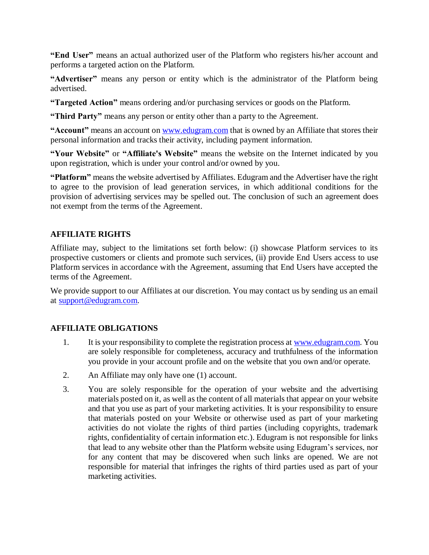**"End User"** means an actual authorized user of the Platform who registers his/her account and performs a targeted action on the Platform.

**"Advertiser"** means any person or entity which is the administrator of the Platform being advertised.

**"Targeted Action"** means ordering and/or purchasing services or goods on the Platform.

**"Third Party"** means any person or entity other than a party to the Agreement.

"Account" means an account on [www.edugram.com](http://www.edugram.com/) that is owned by an Affiliate that stores their personal information and tracks their activity, including payment information.

**"Your Website"** or **"Affiliate's Website"** means the website on the Internet indicated by you upon registration, which is under your control and/or owned by you.

**"Platform"** means the website advertised by Affiliates. Edugram and the Advertiser have the right to agree to the provision of lead generation services, in which additional conditions for the provision of advertising services may be spelled out. The conclusion of such an agreement does not exempt from the terms of the Agreement.

# **AFFILIATE RIGHTS**

Affiliate may, subject to the limitations set forth below: (i) showcase Platform services to its prospective customers or clients and promote such services, (ii) provide End Users access to use Platform services in accordance with the Agreement, assuming that End Users have accepted the terms of the Agreement.

We provide support to our Affiliates at our discretion. You may contact us by sending us an email at [support@edugram.com.](mailto:support@edugram.com)

## **AFFILIATE OBLIGATIONS**

- 1. It is your responsibility to complete the registration process at [www.edugram.com.](http://www.edugram.com/) You are solely responsible for completeness, accuracy and truthfulness of the information you provide in your account profile and on the website that you own and/or operate.
- 2. An Affiliate may only have one (1) account.
- 3. You are solely responsible for the operation of your website and the advertising materials posted on it, as well as the content of all materials that appear on your website and that you use as part of your marketing activities. It is your responsibility to ensure that materials posted on your Website or otherwise used as part of your marketing activities do not violate the rights of third parties (including copyrights, trademark rights, confidentiality of certain information etc.). Edugram is not responsible for links that lead to any website other than the Platform website using Edugram's services, nor for any content that may be discovered when such links are opened. We are not responsible for material that infringes the rights of third parties used as part of your marketing activities.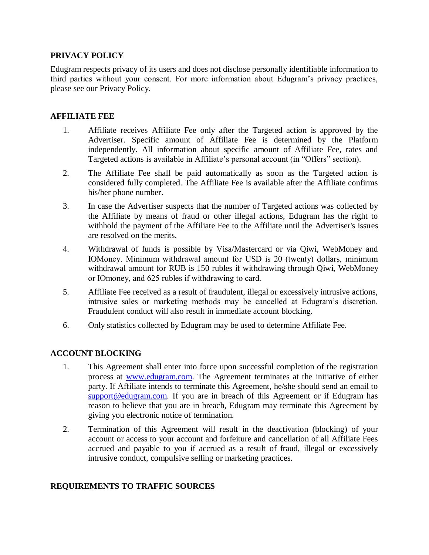#### **PRIVACY POLICY**

Edugram respects privacy of its users and does not disclose personally identifiable information to third parties without your consent. For more information about Edugram's privacy practices, please see our Privacy Policy.

#### **AFFILIATE FEE**

- 1. Affiliate receives Affiliate Fee only after the Targeted action is approved by the Advertiser. Specific amount of Affiliate Fee is determined by the Platform independently. All information about specific amount of Affiliate Fee, rates and Targeted actions is available in Affiliate's personal account (in "Offers" section).
- 2. The Affiliate Fee shall be paid automatically as soon as the Targeted action is considered fully completed. The Affiliate Fee is available after the Affiliate confirms his/her phone number.
- 3. In case the Advertiser suspects that the number of Targeted actions was collected by the Affiliate by means of fraud or other illegal actions, Edugram has the right to withhold the payment of the Affiliate Fee to the Affiliate until the Advertiser's issues are resolved on the merits.
- 4. Withdrawal of funds is possible by Visa/Mastercard or via Qiwi, WebMoney and ЮMoney. Minimum withdrawal amount for USD is 20 (twenty) dollars, minimum withdrawal amount for RUB is 150 rubles if withdrawing through Qiwi, WebMoney or Юmoney, and 625 rubles if withdrawing to card.
- 5. Affiliate Fee received as a result of fraudulent, illegal or excessively intrusive actions, intrusive sales or marketing methods may be cancelled at Edugram's discretion. Fraudulent conduct will also result in immediate account blocking.
- 6. Only statistics collected by Edugram may be used to determine Affiliate Fee.

### **ACCOUNT BLOCKING**

- 1. This Agreement shall enter into force upon successful completion of the registration process at [www.edugram.com.](http://www.edugram.com/) The Agreement terminates at the initiative of either party. If Affiliate intends to terminate this Agreement, he/she should send an email to [support@edugram.com.](mailto:support@edugram.com) If you are in breach of this Agreement or if Edugram has reason to believe that you are in breach, Edugram may terminate this Agreement by giving you electronic notice of termination.
- 2. Termination of this Agreement will result in the deactivation (blocking) of your account or access to your account and forfeiture and cancellation of all Affiliate Fees accrued and payable to you if accrued as a result of fraud, illegal or excessively intrusive conduct, compulsive selling or marketing practices.

### **REQUIREMENTS TO TRAFFIC SOURCES**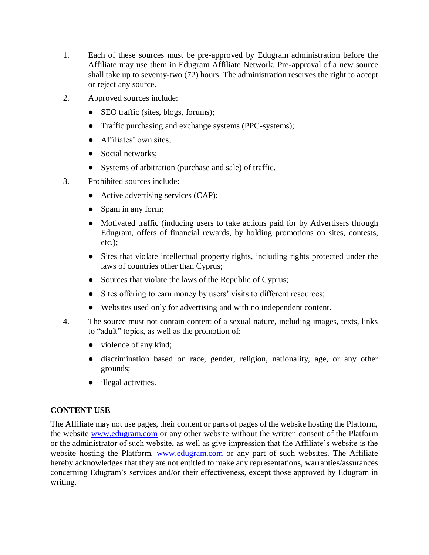- 1. Each of these sources must be pre-approved by Edugram administration before the Affiliate may use them in Edugram Affiliate Network. Pre-approval of a new source shall take up to seventy-two (72) hours. The administration reserves the right to accept or reject any source.
- 2. Approved sources include:
	- SEO traffic (sites, blogs, forums);
	- Traffic purchasing and exchange systems (PPC-systems);
	- Affiliates' own sites;
	- Social networks;
	- Systems of arbitration (purchase and sale) of traffic.
- 3. Prohibited sources include:
	- Active advertising services (CAP);
	- Spam in any form;
	- Motivated traffic (inducing users to take actions paid for by Advertisers through Edugram, offers of financial rewards, by holding promotions on sites, contests, etc.);
	- Sites that violate intellectual property rights, including rights protected under the laws of countries other than Cyprus;
	- Sources that violate the laws of the Republic of Cyprus;
	- Sites offering to earn money by users' visits to different resources;
	- Websites used only for advertising and with no independent content.
- 4. The source must not contain content of a sexual nature, including images, texts, links to "adult" topics, as well as the promotion of:
	- violence of any kind;
	- discrimination based on race, gender, religion, nationality, age, or any other grounds;
	- illegal activities.

## **CONTENT USE**

The Affiliate may not use pages, their content or parts of pages of the website hosting the Platform, the website [www.edugram.com](http://www.edugram.com/) or any other website without the written consent of the Platform or the administrator of such website, as well as give impression that the Affiliate's website is the website hosting the Platform, [www.edugram.com](http://www.edugram.com/) or any part of such websites. The Affiliate hereby acknowledges that they are not entitled to make any representations, warranties/assurances concerning Edugram's services and/or their effectiveness, except those approved by Edugram in writing.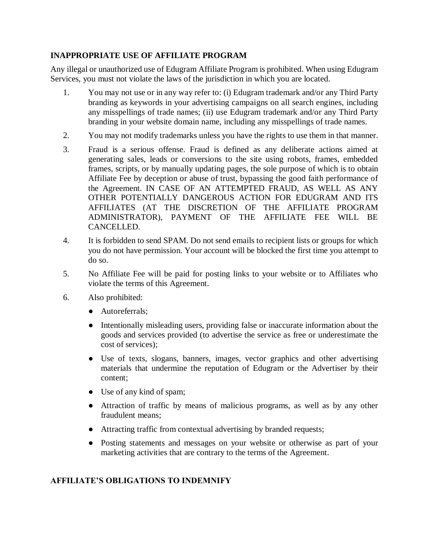### **INAPPROPRIATE USE OF AFFILIATE PROGRAM**

Any illegal or unauthorized use of Edugram Affiliate Program is prohibited. When using Edugram Services, you must not violate the laws of the jurisdiction in which you are located.

- 1. You may not use or in any way refer to: (i) Edugram trademark and/or any Third Party branding as keywords in your advertising campaigns on all search engines, including any misspellings of trade names; (ii) use Edugram trademark and/or any Third Party branding in your website domain name, including any misspellings of trade names.
- 2. You may not modify trademarks unless you have the rights to use them in that manner.
- 3. Fraud is a serious offense. Fraud is defined as any deliberate actions aimed at generating sales, leads or conversions to the site using robots, frames, embedded frames, scripts, or by manually updating pages, the sole purpose of which is to obtain Affiliate Fee by deception or abuse of trust, bypassing the good faith performance of the Agreement. IN CASE OF AN ATTEMPTED FRAUD, AS WELL AS ANY OTHER POTENTIALLY DANGEROUS ACTION FOR EDUGRAM AND ITS AFFILIATES (AT THE DISCRETION OF THE AFFILIATE PROGRAM ADMINISTRATOR), PAYMENT OF THE AFFILIATE FEE WILL BE CANCELLED.
- 4. It is forbidden to send SPAM. Do not send emails to recipient lists or groups for which you do not have permission. Your account will be blocked the first time you attempt to do so.
- 5. No Affiliate Fee will be paid for posting links to your website or to Affiliates who violate the terms of this Agreement.
- 6. Also prohibited:
	- Autoreferrals;
	- Intentionally misleading users, providing false or inaccurate information about the goods and services provided (to advertise the service as free or underestimate the cost of services);
	- Use of texts, slogans, banners, images, vector graphics and other advertising materials that undermine the reputation of Edugram or the Advertiser by their content;
	- Use of any kind of spam;
	- Attraction of traffic by means of malicious programs, as well as by any other fraudulent means;
	- Attracting traffic from contextual advertising by branded requests;
	- Posting statements and messages on your website or otherwise as part of your marketing activities that are contrary to the terms of the Agreement.

## **AFFILIATE'S OBLIGATIONS TO INDEMNIFY**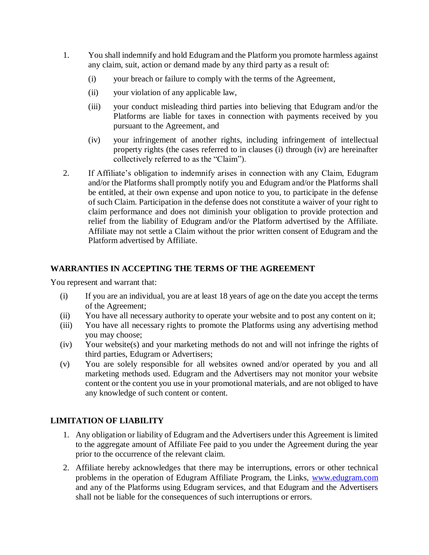- 1. You shall indemnify and hold Edugram and the Platform you promote harmless against any claim, suit, action or demand made by any third party as a result of:
	- (i) your breach or failure to comply with the terms of the Agreement,
	- (ii) your violation of any applicable law,
	- (iii) your conduct misleading third parties into believing that Edugram and/or the Platforms are liable for taxes in connection with payments received by you pursuant to the Agreement, and
	- (iv) your infringement of another rights, including infringement of intellectual property rights (the cases referred to in clauses (i) through (iv) are hereinafter collectively referred to as the "Claim").
- 2. If Affiliate's obligation to indemnify arises in connection with any Claim, Edugram and/or the Platforms shall promptly notify you and Edugram and/or the Platforms shall be entitled, at their own expense and upon notice to you, to participate in the defense of such Claim. Participation in the defense does not constitute a waiver of your right to claim performance and does not diminish your obligation to provide protection and relief from the liability of Edugram and/or the Platform advertised by the Affiliate. Affiliate may not settle a Claim without the prior written consent of Edugram and the Platform advertised by Affiliate.

### **WARRANTIES IN ACCEPTING THE TERMS OF THE AGREEMENT**

You represent and warrant that:

- (i) If you are an individual, you are at least 18 years of age on the date you accept the terms of the Agreement;
- (ii) You have all necessary authority to operate your website and to post any content on it;
- (iii) You have all necessary rights to promote the Platforms using any advertising method you may choose;
- (iv) Your website(s) and your marketing methods do not and will not infringe the rights of third parties, Edugram or Advertisers;
- (v) You are solely responsible for all websites owned and/or operated by you and all marketing methods used. Edugram and the Advertisers may not monitor your website content or the content you use in your promotional materials, and are not obliged to have any knowledge of such content or content.

### **LIMITATION OF LIABILITY**

- 1. Any obligation or liability of Edugram and the Advertisers under this Agreement is limited to the aggregate amount of Affiliate Fee paid to you under the Agreement during the year prior to the occurrence of the relevant claim.
- 2. Affiliate hereby acknowledges that there may be interruptions, errors or other technical problems in the operation of Edugram Affiliate Program, the Links, [www.edugram.com](http://www.edugram.com/) and any of the Platforms using Edugram services, and that Edugram and the Advertisers shall not be liable for the consequences of such interruptions or errors.